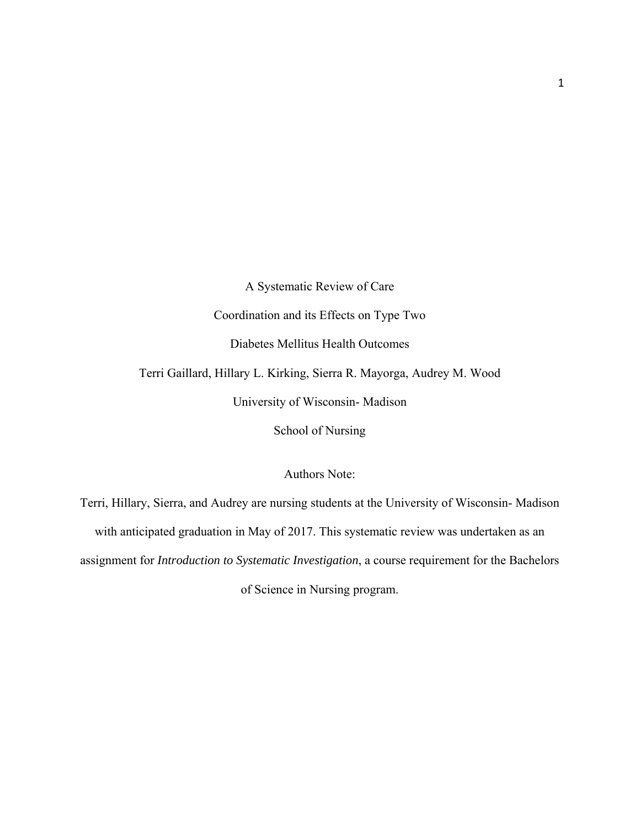A Systematic Review of Care Coordination and its Effects on Type Two Diabetes Mellitus Health Outcomes Terri Gaillard, Hillary L. Kirking, Sierra R. Mayorga, Audrey M. Wood University of Wisconsin- Madison School of Nursing

Authors Note:

Terri, Hillary, Sierra, and Audrey are nursing students at the University of Wisconsin- Madison with anticipated graduation in May of 2017. This systematic review was undertaken as an assignment for *Introduction to Systematic Investigation*, a course requirement for the Bachelors of Science in Nursing program.